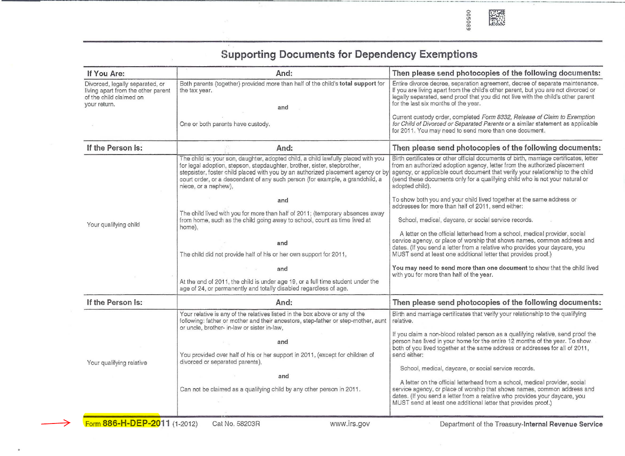

| If You Are:                                                                                                      | And:                                                                                                                                                                                                                                                                                                                                                                                                                       | Then please send photocopies of the following documents:                                                                                                                                                                                                                                                                                                                                                                                                                                                                                                                                                                                                                                                                            |
|------------------------------------------------------------------------------------------------------------------|----------------------------------------------------------------------------------------------------------------------------------------------------------------------------------------------------------------------------------------------------------------------------------------------------------------------------------------------------------------------------------------------------------------------------|-------------------------------------------------------------------------------------------------------------------------------------------------------------------------------------------------------------------------------------------------------------------------------------------------------------------------------------------------------------------------------------------------------------------------------------------------------------------------------------------------------------------------------------------------------------------------------------------------------------------------------------------------------------------------------------------------------------------------------------|
| Divorced, legally separated, or<br>living apart from the other parent<br>of the child claimed on<br>your return. | Both parents (together) provided more than half of the child's total support for<br>the tax year.<br>and                                                                                                                                                                                                                                                                                                                   | Entire divorce decree, separation agreement, decree of separate maintenance.<br>If you are living apart from the child's other parent, but you are not divorced or<br>legally separated, send proof that you did not live with the child's other parent<br>for the last six months of the year.                                                                                                                                                                                                                                                                                                                                                                                                                                     |
|                                                                                                                  | One or both parents have custody.                                                                                                                                                                                                                                                                                                                                                                                          | Current custody order, completed Form 8332, Release of Claim to Exemption<br>for Child of Divorced or Separated Parents or a similar statement as applicable<br>for 2011. You may need to send more than one document.                                                                                                                                                                                                                                                                                                                                                                                                                                                                                                              |
| If the Person Is:                                                                                                | And:                                                                                                                                                                                                                                                                                                                                                                                                                       | Then please send photocopies of the following documents:                                                                                                                                                                                                                                                                                                                                                                                                                                                                                                                                                                                                                                                                            |
| Your qualifying child                                                                                            | The child is: your son, daughter, adopted child, a child lawfully placed with you<br>for legal adoption, stepson, stepdaughter, brother, sister, stepbrother,<br>stepsister, foster child placed with you by an authorized placement agency or by<br>court order, or a descendant of any such person (for example, a grandchild, a<br>niece, or a nephew),                                                                 | Birth certificates or other official documents of birth, marriage certificates, letter<br>from an authorized adoption agency, letter from the authorized placement<br>agency, or applicable court document that verify your relationship to the child<br>(send these documents only for a qualifying child who is not your natural or<br>adopted child).                                                                                                                                                                                                                                                                                                                                                                            |
|                                                                                                                  | and<br>The child lived with you for more than half of 2011; (temporary absences away<br>from home, such as the child going away to school, count as time lived at<br>home).                                                                                                                                                                                                                                                | To show both you and your child lived together at the same address or<br>addresses for more than half of 2011, send either:<br>School, medical, daycare, or social service records.                                                                                                                                                                                                                                                                                                                                                                                                                                                                                                                                                 |
|                                                                                                                  | and<br>The child did not provide half of his or her own support for 2011,                                                                                                                                                                                                                                                                                                                                                  | A letter on the official letterhead from a school, medical provider, social<br>service agency, or place of worship that shows names, common address and<br>dates. (If you send a letter from a relative who provides your daycare, you<br>MUST send at least one additional letter that provides proof.)                                                                                                                                                                                                                                                                                                                                                                                                                            |
|                                                                                                                  | and<br>At the end of 2011, the child is under age 19, or a full time student under the<br>age of 24, or permanently and totally disabled regardless of age.                                                                                                                                                                                                                                                                | You may need to send more than one document to show that the child lived<br>with you for more than half of the year.                                                                                                                                                                                                                                                                                                                                                                                                                                                                                                                                                                                                                |
| If the Person Is:                                                                                                | And:                                                                                                                                                                                                                                                                                                                                                                                                                       | Then please send photocopies of the following documents:                                                                                                                                                                                                                                                                                                                                                                                                                                                                                                                                                                                                                                                                            |
| Your qualifying relative                                                                                         | Your relative is any of the relatives listed in the box above or any of the<br>following: father or mother and their ancestors, step-father or step-mother, aunt<br>or uncle, brother- in-law or sister in-law,<br>and<br>You provided over half of his or her support in 2011, (except for children of<br>divorced or separated parents),<br>and<br>Can not be claimed as a qualifying child by any other person in 2011. | Birth and marriage certificates that verify your relationship to the qualifying<br>relative.<br>If you claim a non-blood related person as a qualifying relative, send proof the<br>person has lived in your home for the entire 12 months of the year. To show<br>both of you lived together at the same address or addresses for all of 2011,<br>send either:<br>School, medical, daycare, or social service records.<br>A letter on the official letterhead from a school, medical provider, social<br>service agency, or place of worship that shows names, common address and<br>dates. (If you send a letter from a relative who provides your daycare, you<br>MUST send at least one additional letter that provides proof.) |

## **Supporting Documents for Dependency Exemptions**